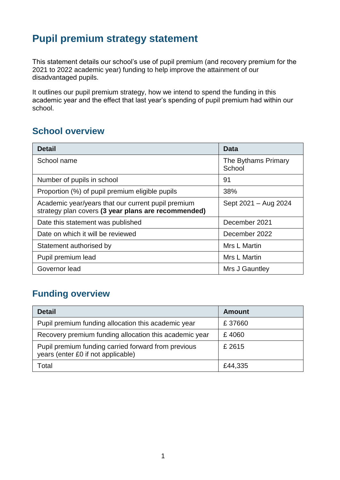### **Pupil premium strategy statement**

This statement details our school's use of pupil premium (and recovery premium for the 2021 to 2022 academic year) funding to help improve the attainment of our disadvantaged pupils.

It outlines our pupil premium strategy, how we intend to spend the funding in this academic year and the effect that last year's spending of pupil premium had within our school.

#### **School overview**

| <b>Detail</b>                                                                                             | <b>Data</b>                   |
|-----------------------------------------------------------------------------------------------------------|-------------------------------|
| School name                                                                                               | The Bythams Primary<br>School |
| Number of pupils in school                                                                                | 91                            |
| Proportion (%) of pupil premium eligible pupils                                                           | 38%                           |
| Academic year/years that our current pupil premium<br>strategy plan covers (3 year plans are recommended) | Sept 2021 - Aug 2024          |
| Date this statement was published                                                                         | December 2021                 |
| Date on which it will be reviewed                                                                         | December 2022                 |
| Statement authorised by                                                                                   | Mrs L Martin                  |
| Pupil premium lead                                                                                        | Mrs L Martin                  |
| Governor lead                                                                                             | Mrs J Gauntley                |

### **Funding overview**

| <b>Detail</b>                                                                             | <b>Amount</b> |
|-------------------------------------------------------------------------------------------|---------------|
| Pupil premium funding allocation this academic year                                       | £37660        |
| Recovery premium funding allocation this academic year                                    | £4060         |
| Pupil premium funding carried forward from previous<br>years (enter £0 if not applicable) | £ 2615        |
| Total                                                                                     | £44,335       |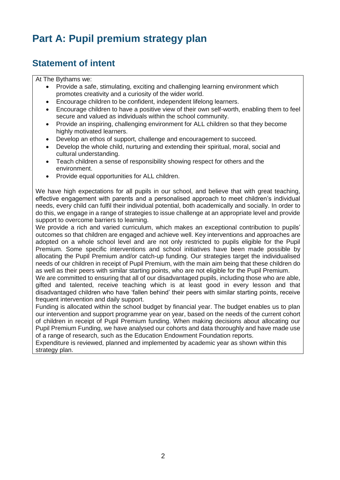# **Part A: Pupil premium strategy plan**

#### **Statement of intent**

#### At The Bythams we:

- Provide a safe, stimulating, exciting and challenging learning environment which promotes creativity and a curiosity of the wider world.
- Encourage children to be confident, independent lifelong learners.
- Encourage children to have a positive view of their own self-worth, enabling them to feel secure and valued as individuals within the school community.
- Provide an inspiring, challenging environment for ALL children so that they become highly motivated learners.
- Develop an ethos of support, challenge and encouragement to succeed.
- Develop the whole child, nurturing and extending their spiritual, moral, social and cultural understanding.
- Teach children a sense of responsibility showing respect for others and the environment.
- Provide equal opportunities for ALL children.

We have high expectations for all pupils in our school, and believe that with great teaching, effective engagement with parents and a personalised approach to meet children's individual needs, every child can fulfil their individual potential, both academically and socially. In order to do this, we engage in a range of strategies to issue challenge at an appropriate level and provide support to overcome barriers to learning.

We provide a rich and varied curriculum, which makes an exceptional contribution to pupils' outcomes so that children are engaged and achieve well. Key interventions and approaches are adopted on a whole school level and are not only restricted to pupils eligible for the Pupil Premium. Some specific interventions and school initiatives have been made possible by allocating the Pupil Premium and/or catch-up funding. Our strategies target the individualised needs of our children in receipt of Pupil Premium, with the main aim being that these children do as well as their peers with similar starting points, who are not eligible for the Pupil Premium.

We are committed to ensuring that all of our disadvantaged pupils, including those who are able, gifted and talented, receive teaching which is at least good in every lesson and that disadvantaged children who have 'fallen behind' their peers with similar starting points, receive frequent intervention and daily support.

Funding is allocated within the school budget by financial year. The budget enables us to plan our intervention and support programme year on year, based on the needs of the current cohort of children in receipt of Pupil Premium funding. When making decisions about allocating our Pupil Premium Funding, we have analysed our cohorts and data thoroughly and have made use of a range of research, such as the Education Endowment Foundation reports.

Expenditure is reviewed, planned and implemented by academic year as shown within this strategy plan.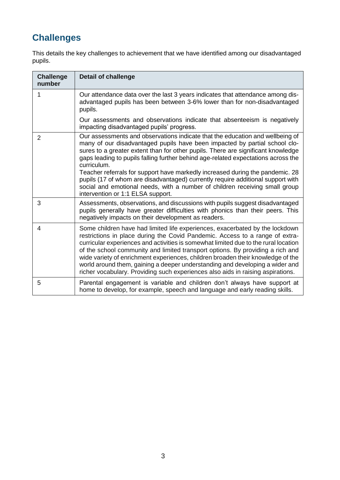# **Challenges**

This details the key challenges to achievement that we have identified among our disadvantaged pupils.

| <b>Challenge</b><br>number | <b>Detail of challenge</b>                                                                                                                                                                                                                                                                                                                                                                                                                                                                                                                                                                                                                  |
|----------------------------|---------------------------------------------------------------------------------------------------------------------------------------------------------------------------------------------------------------------------------------------------------------------------------------------------------------------------------------------------------------------------------------------------------------------------------------------------------------------------------------------------------------------------------------------------------------------------------------------------------------------------------------------|
| 1                          | Our attendance data over the last 3 years indicates that attendance among dis-<br>advantaged pupils has been between 3-6% lower than for non-disadvantaged<br>pupils.                                                                                                                                                                                                                                                                                                                                                                                                                                                                       |
|                            | Our assessments and observations indicate that absenteeism is negatively<br>impacting disadvantaged pupils' progress.                                                                                                                                                                                                                                                                                                                                                                                                                                                                                                                       |
| $\overline{2}$             | Our assessments and observations indicate that the education and wellbeing of<br>many of our disadvantaged pupils have been impacted by partial school clo-<br>sures to a greater extent than for other pupils. There are significant knowledge<br>gaps leading to pupils falling further behind age-related expectations across the<br>curriculum.<br>Teacher referrals for support have markedly increased during the pandemic. 28<br>pupils (17 of whom are disadvantaged) currently require additional support with<br>social and emotional needs, with a number of children receiving small group<br>intervention or 1:1 ELSA support. |
| 3                          | Assessments, observations, and discussions with pupils suggest disadvantaged<br>pupils generally have greater difficulties with phonics than their peers. This<br>negatively impacts on their development as readers.                                                                                                                                                                                                                                                                                                                                                                                                                       |
| 4                          | Some children have had limited life experiences, exacerbated by the lockdown<br>restrictions in place during the Covid Pandemic. Access to a range of extra-<br>curricular experiences and activities is somewhat limited due to the rural location<br>of the school community and limited transport options. By providing a rich and<br>wide variety of enrichment experiences, children broaden their knowledge of the<br>world around them, gaining a deeper understanding and developing a wider and<br>richer vocabulary. Providing such experiences also aids in raising aspirations.                                                 |
| 5                          | Parental engagement is variable and children don't always have support at<br>home to develop, for example, speech and language and early reading skills.                                                                                                                                                                                                                                                                                                                                                                                                                                                                                    |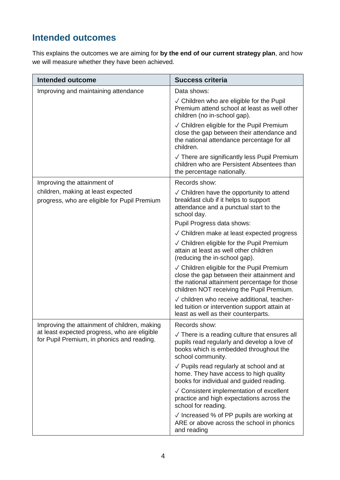### **Intended outcomes**

This explains the outcomes we are aiming for **by the end of our current strategy plan**, and how we will measure whether they have been achieved.

| <b>Intended outcome</b>                                                                    | <b>Success criteria</b>                                                                                                                                                              |  |
|--------------------------------------------------------------------------------------------|--------------------------------------------------------------------------------------------------------------------------------------------------------------------------------------|--|
| Improving and maintaining attendance                                                       | Data shows:                                                                                                                                                                          |  |
|                                                                                            | $\sqrt{\phantom{a}}$ Children who are eligible for the Pupil<br>Premium attend school at least as well other<br>children (no in-school gap).                                         |  |
|                                                                                            | √ Children eligible for the Pupil Premium<br>close the gap between their attendance and<br>the national attendance percentage for all<br>children.                                   |  |
|                                                                                            | $\sqrt{}$ There are significantly less Pupil Premium<br>children who are Persistent Absentees than<br>the percentage nationally.                                                     |  |
| Improving the attainment of                                                                | Records show:                                                                                                                                                                        |  |
| children, making at least expected<br>progress, who are eligible for Pupil Premium         | $\sqrt{\phantom{a}}$ Children have the opportunity to attend<br>breakfast club if it helps to support<br>attendance and a punctual start to the<br>school day.                       |  |
|                                                                                            | Pupil Progress data shows:                                                                                                                                                           |  |
|                                                                                            | $\sqrt{\phantom{a}}$ Children make at least expected progress                                                                                                                        |  |
|                                                                                            | √ Children eligible for the Pupil Premium<br>attain at least as well other children<br>(reducing the in-school gap).                                                                 |  |
|                                                                                            | √ Children eligible for the Pupil Premium<br>close the gap between their attainment and<br>the national attainment percentage for those<br>children NOT receiving the Pupil Premium. |  |
|                                                                                            | √ children who receive additional, teacher-<br>led tuition or intervention support attain at<br>least as well as their counterparts.                                                 |  |
| Improving the attainment of children, making                                               | Records show:                                                                                                                                                                        |  |
| at least expected progress, who are eligible<br>for Pupil Premium, in phonics and reading. | $\sqrt{}$ There is a reading culture that ensures all<br>pupils read regularly and develop a love of<br>books which is embedded throughout the<br>school community.                  |  |
|                                                                                            | $\sqrt{}$ Pupils read regularly at school and at<br>home. They have access to high quality<br>books for individual and guided reading.                                               |  |
|                                                                                            | √ Consistent implementation of excellent<br>practice and high expectations across the<br>school for reading.                                                                         |  |
|                                                                                            | $\sqrt{}$ Increased % of PP pupils are working at<br>ARE or above across the school in phonics<br>and reading                                                                        |  |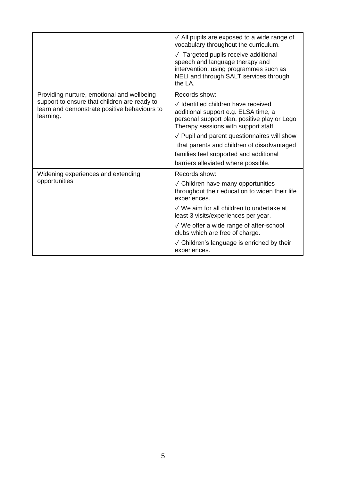|                                                                                                           | $\sqrt{\phantom{a}}$ All pupils are exposed to a wide range of<br>vocabulary throughout the curriculum.                                                                |
|-----------------------------------------------------------------------------------------------------------|------------------------------------------------------------------------------------------------------------------------------------------------------------------------|
|                                                                                                           | √ Targeted pupils receive additional<br>speech and language therapy and<br>intervention, using programmes such as<br>NELI and through SALT services through<br>the LA. |
| Providing nurture, emotional and wellbeing                                                                | Records show:                                                                                                                                                          |
| support to ensure that children are ready to<br>learn and demonstrate positive behaviours to<br>learning. | √ Identified children have received<br>additional support e.g. ELSA time, a<br>personal support plan, positive play or Lego<br>Therapy sessions with support staff     |
|                                                                                                           | $\sqrt{}$ Pupil and parent questionnaires will show                                                                                                                    |
|                                                                                                           | that parents and children of disadvantaged                                                                                                                             |
|                                                                                                           | families feel supported and additional                                                                                                                                 |
|                                                                                                           | barriers alleviated where possible.                                                                                                                                    |
| Widening experiences and extending                                                                        | Records show:                                                                                                                                                          |
| opportunities                                                                                             | $\sqrt{\phantom{a}}$ Children have many opportunities<br>throughout their education to widen their life<br>experiences.                                                |
|                                                                                                           | √ We aim for all children to undertake at<br>least 3 visits/experiences per year.                                                                                      |
|                                                                                                           | $\sqrt{ }$ We offer a wide range of after-school<br>clubs which are free of charge.                                                                                    |
|                                                                                                           | √ Children's language is enriched by their<br>experiences.                                                                                                             |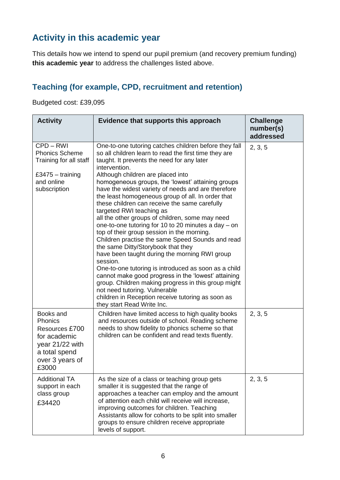### **Activity in this academic year**

This details how we intend to spend our pupil premium (and recovery premium funding) **this academic year** to address the challenges listed above.

### **Teaching (for example, CPD, recruitment and retention)**

Budgeted cost: £39,095

| <b>Activity</b>                                                                                                        | Evidence that supports this approach                                                                                                                                                                                                                                                                                                                                                                                                                                                                                                                                                                                                                                                                                                                                                                                                                                                                                                                                                                                                                                     | <b>Challenge</b><br>number(s)<br>addressed |
|------------------------------------------------------------------------------------------------------------------------|--------------------------------------------------------------------------------------------------------------------------------------------------------------------------------------------------------------------------------------------------------------------------------------------------------------------------------------------------------------------------------------------------------------------------------------------------------------------------------------------------------------------------------------------------------------------------------------------------------------------------------------------------------------------------------------------------------------------------------------------------------------------------------------------------------------------------------------------------------------------------------------------------------------------------------------------------------------------------------------------------------------------------------------------------------------------------|--------------------------------------------|
| CPD-RWI<br><b>Phonics Scheme</b><br>Training for all staff<br>£3475 $-$ training<br>and online<br>subscription         | One-to-one tutoring catches children before they fall<br>so all children learn to read the first time they are<br>taught. It prevents the need for any later<br>intervention.<br>Although children are placed into<br>homogeneous groups, the 'lowest' attaining groups<br>have the widest variety of needs and are therefore<br>the least homogeneous group of all. In order that<br>these children can receive the same carefully<br>targeted RWI teaching as<br>all the other groups of children, some may need<br>one-to-one tutoring for 10 to 20 minutes a day - on<br>top of their group session in the morning.<br>Children practise the same Speed Sounds and read<br>the same Ditty/Storybook that they<br>have been taught during the morning RWI group<br>session.<br>One-to-one tutoring is introduced as soon as a child<br>cannot make good progress in the 'lowest' attaining<br>group. Children making progress in this group might<br>not need tutoring. Vulnerable<br>children in Reception receive tutoring as soon as<br>they start Read Write Inc. | 2, 3, 5                                    |
| Books and<br>Phonics<br>Resources £700<br>for academic<br>year 21/22 with<br>a total spend<br>over 3 years of<br>£3000 | Children have limited access to high quality books<br>and resources outside of school. Reading scheme<br>needs to show fidelity to phonics scheme so that<br>children can be confident and read texts fluently.                                                                                                                                                                                                                                                                                                                                                                                                                                                                                                                                                                                                                                                                                                                                                                                                                                                          | 2, 3, 5                                    |
| <b>Additional TA</b><br>support in each<br>class group<br>£34420                                                       | As the size of a class or teaching group gets<br>smaller it is suggested that the range of<br>approaches a teacher can employ and the amount<br>of attention each child will receive will increase,<br>improving outcomes for children. Teaching<br>Assistants allow for cohorts to be split into smaller<br>groups to ensure children receive appropriate<br>levels of support.                                                                                                                                                                                                                                                                                                                                                                                                                                                                                                                                                                                                                                                                                         | 2, 3, 5                                    |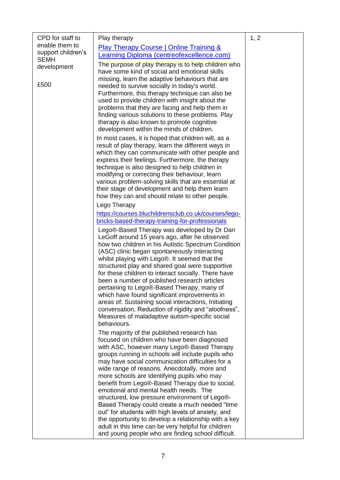| enable them to<br><b>Play Therapy Course   Online Training &amp;</b><br>support children's<br>earning Diploma (centreofexcellence.com)<br><b>SEMH</b><br>The purpose of play therapy is to help children who<br>development<br>have some kind of social and emotional skills<br>missing, learn the adaptive behaviours that are<br>£500<br>needed to survive socially in today's world.<br>Furthermore, this therapy technique can also be<br>used to provide children with insight about the<br>problems that they are facing and help them in<br>finding various solutions to these problems. Play<br>therapy is also known to promote cognitive<br>development within the minds of children.<br>In most cases, it is hoped that children will, as a<br>result of play therapy, learn the different ways in<br>which they can communicate with other people and<br>express their feelings. Furthermore, the therapy<br>technique is also designed to help children in<br>modifying or correcting their behaviour, learn<br>various problem-solving skills that are essential at<br>their stage of development and help them learn<br>how they can and should relate to other people.<br>Lego Therapy<br>https://courses.bluchildrensclub.co.uk/courses/lego-<br>bricks-based-therapy-training-for-professionals<br>Lego®-Based Therapy was developed by Dr Dan<br>LeGoff around 15 years ago, after he observed<br>how two children in his Autistic Spectrum Condition<br>(ASC) clinic began spontaneously interacting<br>whilst playing with Lego®. It seemed that the<br>structured play and shared goal were supportive<br>for these children to interact socially. There have<br>been a number of published research articles<br>pertaining to Lego®-Based Therapy, many of<br>which have found significant improvements in<br>areas of: Sustaining social interactions, Initiating<br>conversation, Reduction of rigidity and "aloofness",<br>Measures of maladaptive autism-specific social<br>behaviours.<br>The majority of the published research has<br>focused on children who have been diagnosed<br>with ASC, however many Lego®-Based Therapy<br>groups running in schools will include pupils who<br>may have social communication difficulties for a<br>wide range of reasons. Anecdotally, more and<br>more schools are identifying pupils who may<br>benefit from Lego®-Based Therapy due to social,<br>emotional and mental health needs. The<br>structured, low pressure environment of Lego®-<br>Based Therapy could create a much needed "time"<br>out" for students with high levels of anxiety, and |                  |              |      |
|-------------------------------------------------------------------------------------------------------------------------------------------------------------------------------------------------------------------------------------------------------------------------------------------------------------------------------------------------------------------------------------------------------------------------------------------------------------------------------------------------------------------------------------------------------------------------------------------------------------------------------------------------------------------------------------------------------------------------------------------------------------------------------------------------------------------------------------------------------------------------------------------------------------------------------------------------------------------------------------------------------------------------------------------------------------------------------------------------------------------------------------------------------------------------------------------------------------------------------------------------------------------------------------------------------------------------------------------------------------------------------------------------------------------------------------------------------------------------------------------------------------------------------------------------------------------------------------------------------------------------------------------------------------------------------------------------------------------------------------------------------------------------------------------------------------------------------------------------------------------------------------------------------------------------------------------------------------------------------------------------------------------------------------------------------------------------------------------------------------------------------------------------------------------------------------------------------------------------------------------------------------------------------------------------------------------------------------------------------------------------------------------------------------------------------------------------------------------------------------------------------------------------------------------------------------------------------------------------------------------------------|------------------|--------------|------|
|                                                                                                                                                                                                                                                                                                                                                                                                                                                                                                                                                                                                                                                                                                                                                                                                                                                                                                                                                                                                                                                                                                                                                                                                                                                                                                                                                                                                                                                                                                                                                                                                                                                                                                                                                                                                                                                                                                                                                                                                                                                                                                                                                                                                                                                                                                                                                                                                                                                                                                                                                                                                                               | CPD for staff to | Play therapy | 1, 2 |
|                                                                                                                                                                                                                                                                                                                                                                                                                                                                                                                                                                                                                                                                                                                                                                                                                                                                                                                                                                                                                                                                                                                                                                                                                                                                                                                                                                                                                                                                                                                                                                                                                                                                                                                                                                                                                                                                                                                                                                                                                                                                                                                                                                                                                                                                                                                                                                                                                                                                                                                                                                                                                               |                  |              |      |
|                                                                                                                                                                                                                                                                                                                                                                                                                                                                                                                                                                                                                                                                                                                                                                                                                                                                                                                                                                                                                                                                                                                                                                                                                                                                                                                                                                                                                                                                                                                                                                                                                                                                                                                                                                                                                                                                                                                                                                                                                                                                                                                                                                                                                                                                                                                                                                                                                                                                                                                                                                                                                               |                  |              |      |
|                                                                                                                                                                                                                                                                                                                                                                                                                                                                                                                                                                                                                                                                                                                                                                                                                                                                                                                                                                                                                                                                                                                                                                                                                                                                                                                                                                                                                                                                                                                                                                                                                                                                                                                                                                                                                                                                                                                                                                                                                                                                                                                                                                                                                                                                                                                                                                                                                                                                                                                                                                                                                               |                  |              |      |
|                                                                                                                                                                                                                                                                                                                                                                                                                                                                                                                                                                                                                                                                                                                                                                                                                                                                                                                                                                                                                                                                                                                                                                                                                                                                                                                                                                                                                                                                                                                                                                                                                                                                                                                                                                                                                                                                                                                                                                                                                                                                                                                                                                                                                                                                                                                                                                                                                                                                                                                                                                                                                               |                  |              |      |
|                                                                                                                                                                                                                                                                                                                                                                                                                                                                                                                                                                                                                                                                                                                                                                                                                                                                                                                                                                                                                                                                                                                                                                                                                                                                                                                                                                                                                                                                                                                                                                                                                                                                                                                                                                                                                                                                                                                                                                                                                                                                                                                                                                                                                                                                                                                                                                                                                                                                                                                                                                                                                               |                  |              |      |
|                                                                                                                                                                                                                                                                                                                                                                                                                                                                                                                                                                                                                                                                                                                                                                                                                                                                                                                                                                                                                                                                                                                                                                                                                                                                                                                                                                                                                                                                                                                                                                                                                                                                                                                                                                                                                                                                                                                                                                                                                                                                                                                                                                                                                                                                                                                                                                                                                                                                                                                                                                                                                               |                  |              |      |
|                                                                                                                                                                                                                                                                                                                                                                                                                                                                                                                                                                                                                                                                                                                                                                                                                                                                                                                                                                                                                                                                                                                                                                                                                                                                                                                                                                                                                                                                                                                                                                                                                                                                                                                                                                                                                                                                                                                                                                                                                                                                                                                                                                                                                                                                                                                                                                                                                                                                                                                                                                                                                               |                  |              |      |
|                                                                                                                                                                                                                                                                                                                                                                                                                                                                                                                                                                                                                                                                                                                                                                                                                                                                                                                                                                                                                                                                                                                                                                                                                                                                                                                                                                                                                                                                                                                                                                                                                                                                                                                                                                                                                                                                                                                                                                                                                                                                                                                                                                                                                                                                                                                                                                                                                                                                                                                                                                                                                               |                  |              |      |
|                                                                                                                                                                                                                                                                                                                                                                                                                                                                                                                                                                                                                                                                                                                                                                                                                                                                                                                                                                                                                                                                                                                                                                                                                                                                                                                                                                                                                                                                                                                                                                                                                                                                                                                                                                                                                                                                                                                                                                                                                                                                                                                                                                                                                                                                                                                                                                                                                                                                                                                                                                                                                               |                  |              |      |
|                                                                                                                                                                                                                                                                                                                                                                                                                                                                                                                                                                                                                                                                                                                                                                                                                                                                                                                                                                                                                                                                                                                                                                                                                                                                                                                                                                                                                                                                                                                                                                                                                                                                                                                                                                                                                                                                                                                                                                                                                                                                                                                                                                                                                                                                                                                                                                                                                                                                                                                                                                                                                               |                  |              |      |
|                                                                                                                                                                                                                                                                                                                                                                                                                                                                                                                                                                                                                                                                                                                                                                                                                                                                                                                                                                                                                                                                                                                                                                                                                                                                                                                                                                                                                                                                                                                                                                                                                                                                                                                                                                                                                                                                                                                                                                                                                                                                                                                                                                                                                                                                                                                                                                                                                                                                                                                                                                                                                               |                  |              |      |
|                                                                                                                                                                                                                                                                                                                                                                                                                                                                                                                                                                                                                                                                                                                                                                                                                                                                                                                                                                                                                                                                                                                                                                                                                                                                                                                                                                                                                                                                                                                                                                                                                                                                                                                                                                                                                                                                                                                                                                                                                                                                                                                                                                                                                                                                                                                                                                                                                                                                                                                                                                                                                               |                  |              |      |
|                                                                                                                                                                                                                                                                                                                                                                                                                                                                                                                                                                                                                                                                                                                                                                                                                                                                                                                                                                                                                                                                                                                                                                                                                                                                                                                                                                                                                                                                                                                                                                                                                                                                                                                                                                                                                                                                                                                                                                                                                                                                                                                                                                                                                                                                                                                                                                                                                                                                                                                                                                                                                               |                  |              |      |
|                                                                                                                                                                                                                                                                                                                                                                                                                                                                                                                                                                                                                                                                                                                                                                                                                                                                                                                                                                                                                                                                                                                                                                                                                                                                                                                                                                                                                                                                                                                                                                                                                                                                                                                                                                                                                                                                                                                                                                                                                                                                                                                                                                                                                                                                                                                                                                                                                                                                                                                                                                                                                               |                  |              |      |
|                                                                                                                                                                                                                                                                                                                                                                                                                                                                                                                                                                                                                                                                                                                                                                                                                                                                                                                                                                                                                                                                                                                                                                                                                                                                                                                                                                                                                                                                                                                                                                                                                                                                                                                                                                                                                                                                                                                                                                                                                                                                                                                                                                                                                                                                                                                                                                                                                                                                                                                                                                                                                               |                  |              |      |
|                                                                                                                                                                                                                                                                                                                                                                                                                                                                                                                                                                                                                                                                                                                                                                                                                                                                                                                                                                                                                                                                                                                                                                                                                                                                                                                                                                                                                                                                                                                                                                                                                                                                                                                                                                                                                                                                                                                                                                                                                                                                                                                                                                                                                                                                                                                                                                                                                                                                                                                                                                                                                               |                  |              |      |
|                                                                                                                                                                                                                                                                                                                                                                                                                                                                                                                                                                                                                                                                                                                                                                                                                                                                                                                                                                                                                                                                                                                                                                                                                                                                                                                                                                                                                                                                                                                                                                                                                                                                                                                                                                                                                                                                                                                                                                                                                                                                                                                                                                                                                                                                                                                                                                                                                                                                                                                                                                                                                               |                  |              |      |
|                                                                                                                                                                                                                                                                                                                                                                                                                                                                                                                                                                                                                                                                                                                                                                                                                                                                                                                                                                                                                                                                                                                                                                                                                                                                                                                                                                                                                                                                                                                                                                                                                                                                                                                                                                                                                                                                                                                                                                                                                                                                                                                                                                                                                                                                                                                                                                                                                                                                                                                                                                                                                               |                  |              |      |
|                                                                                                                                                                                                                                                                                                                                                                                                                                                                                                                                                                                                                                                                                                                                                                                                                                                                                                                                                                                                                                                                                                                                                                                                                                                                                                                                                                                                                                                                                                                                                                                                                                                                                                                                                                                                                                                                                                                                                                                                                                                                                                                                                                                                                                                                                                                                                                                                                                                                                                                                                                                                                               |                  |              |      |
|                                                                                                                                                                                                                                                                                                                                                                                                                                                                                                                                                                                                                                                                                                                                                                                                                                                                                                                                                                                                                                                                                                                                                                                                                                                                                                                                                                                                                                                                                                                                                                                                                                                                                                                                                                                                                                                                                                                                                                                                                                                                                                                                                                                                                                                                                                                                                                                                                                                                                                                                                                                                                               |                  |              |      |
|                                                                                                                                                                                                                                                                                                                                                                                                                                                                                                                                                                                                                                                                                                                                                                                                                                                                                                                                                                                                                                                                                                                                                                                                                                                                                                                                                                                                                                                                                                                                                                                                                                                                                                                                                                                                                                                                                                                                                                                                                                                                                                                                                                                                                                                                                                                                                                                                                                                                                                                                                                                                                               |                  |              |      |
|                                                                                                                                                                                                                                                                                                                                                                                                                                                                                                                                                                                                                                                                                                                                                                                                                                                                                                                                                                                                                                                                                                                                                                                                                                                                                                                                                                                                                                                                                                                                                                                                                                                                                                                                                                                                                                                                                                                                                                                                                                                                                                                                                                                                                                                                                                                                                                                                                                                                                                                                                                                                                               |                  |              |      |
|                                                                                                                                                                                                                                                                                                                                                                                                                                                                                                                                                                                                                                                                                                                                                                                                                                                                                                                                                                                                                                                                                                                                                                                                                                                                                                                                                                                                                                                                                                                                                                                                                                                                                                                                                                                                                                                                                                                                                                                                                                                                                                                                                                                                                                                                                                                                                                                                                                                                                                                                                                                                                               |                  |              |      |
|                                                                                                                                                                                                                                                                                                                                                                                                                                                                                                                                                                                                                                                                                                                                                                                                                                                                                                                                                                                                                                                                                                                                                                                                                                                                                                                                                                                                                                                                                                                                                                                                                                                                                                                                                                                                                                                                                                                                                                                                                                                                                                                                                                                                                                                                                                                                                                                                                                                                                                                                                                                                                               |                  |              |      |
|                                                                                                                                                                                                                                                                                                                                                                                                                                                                                                                                                                                                                                                                                                                                                                                                                                                                                                                                                                                                                                                                                                                                                                                                                                                                                                                                                                                                                                                                                                                                                                                                                                                                                                                                                                                                                                                                                                                                                                                                                                                                                                                                                                                                                                                                                                                                                                                                                                                                                                                                                                                                                               |                  |              |      |
|                                                                                                                                                                                                                                                                                                                                                                                                                                                                                                                                                                                                                                                                                                                                                                                                                                                                                                                                                                                                                                                                                                                                                                                                                                                                                                                                                                                                                                                                                                                                                                                                                                                                                                                                                                                                                                                                                                                                                                                                                                                                                                                                                                                                                                                                                                                                                                                                                                                                                                                                                                                                                               |                  |              |      |
|                                                                                                                                                                                                                                                                                                                                                                                                                                                                                                                                                                                                                                                                                                                                                                                                                                                                                                                                                                                                                                                                                                                                                                                                                                                                                                                                                                                                                                                                                                                                                                                                                                                                                                                                                                                                                                                                                                                                                                                                                                                                                                                                                                                                                                                                                                                                                                                                                                                                                                                                                                                                                               |                  |              |      |
|                                                                                                                                                                                                                                                                                                                                                                                                                                                                                                                                                                                                                                                                                                                                                                                                                                                                                                                                                                                                                                                                                                                                                                                                                                                                                                                                                                                                                                                                                                                                                                                                                                                                                                                                                                                                                                                                                                                                                                                                                                                                                                                                                                                                                                                                                                                                                                                                                                                                                                                                                                                                                               |                  |              |      |
|                                                                                                                                                                                                                                                                                                                                                                                                                                                                                                                                                                                                                                                                                                                                                                                                                                                                                                                                                                                                                                                                                                                                                                                                                                                                                                                                                                                                                                                                                                                                                                                                                                                                                                                                                                                                                                                                                                                                                                                                                                                                                                                                                                                                                                                                                                                                                                                                                                                                                                                                                                                                                               |                  |              |      |
|                                                                                                                                                                                                                                                                                                                                                                                                                                                                                                                                                                                                                                                                                                                                                                                                                                                                                                                                                                                                                                                                                                                                                                                                                                                                                                                                                                                                                                                                                                                                                                                                                                                                                                                                                                                                                                                                                                                                                                                                                                                                                                                                                                                                                                                                                                                                                                                                                                                                                                                                                                                                                               |                  |              |      |
|                                                                                                                                                                                                                                                                                                                                                                                                                                                                                                                                                                                                                                                                                                                                                                                                                                                                                                                                                                                                                                                                                                                                                                                                                                                                                                                                                                                                                                                                                                                                                                                                                                                                                                                                                                                                                                                                                                                                                                                                                                                                                                                                                                                                                                                                                                                                                                                                                                                                                                                                                                                                                               |                  |              |      |
|                                                                                                                                                                                                                                                                                                                                                                                                                                                                                                                                                                                                                                                                                                                                                                                                                                                                                                                                                                                                                                                                                                                                                                                                                                                                                                                                                                                                                                                                                                                                                                                                                                                                                                                                                                                                                                                                                                                                                                                                                                                                                                                                                                                                                                                                                                                                                                                                                                                                                                                                                                                                                               |                  |              |      |
|                                                                                                                                                                                                                                                                                                                                                                                                                                                                                                                                                                                                                                                                                                                                                                                                                                                                                                                                                                                                                                                                                                                                                                                                                                                                                                                                                                                                                                                                                                                                                                                                                                                                                                                                                                                                                                                                                                                                                                                                                                                                                                                                                                                                                                                                                                                                                                                                                                                                                                                                                                                                                               |                  |              |      |
|                                                                                                                                                                                                                                                                                                                                                                                                                                                                                                                                                                                                                                                                                                                                                                                                                                                                                                                                                                                                                                                                                                                                                                                                                                                                                                                                                                                                                                                                                                                                                                                                                                                                                                                                                                                                                                                                                                                                                                                                                                                                                                                                                                                                                                                                                                                                                                                                                                                                                                                                                                                                                               |                  |              |      |
|                                                                                                                                                                                                                                                                                                                                                                                                                                                                                                                                                                                                                                                                                                                                                                                                                                                                                                                                                                                                                                                                                                                                                                                                                                                                                                                                                                                                                                                                                                                                                                                                                                                                                                                                                                                                                                                                                                                                                                                                                                                                                                                                                                                                                                                                                                                                                                                                                                                                                                                                                                                                                               |                  |              |      |
|                                                                                                                                                                                                                                                                                                                                                                                                                                                                                                                                                                                                                                                                                                                                                                                                                                                                                                                                                                                                                                                                                                                                                                                                                                                                                                                                                                                                                                                                                                                                                                                                                                                                                                                                                                                                                                                                                                                                                                                                                                                                                                                                                                                                                                                                                                                                                                                                                                                                                                                                                                                                                               |                  |              |      |
|                                                                                                                                                                                                                                                                                                                                                                                                                                                                                                                                                                                                                                                                                                                                                                                                                                                                                                                                                                                                                                                                                                                                                                                                                                                                                                                                                                                                                                                                                                                                                                                                                                                                                                                                                                                                                                                                                                                                                                                                                                                                                                                                                                                                                                                                                                                                                                                                                                                                                                                                                                                                                               |                  |              |      |
|                                                                                                                                                                                                                                                                                                                                                                                                                                                                                                                                                                                                                                                                                                                                                                                                                                                                                                                                                                                                                                                                                                                                                                                                                                                                                                                                                                                                                                                                                                                                                                                                                                                                                                                                                                                                                                                                                                                                                                                                                                                                                                                                                                                                                                                                                                                                                                                                                                                                                                                                                                                                                               |                  |              |      |
|                                                                                                                                                                                                                                                                                                                                                                                                                                                                                                                                                                                                                                                                                                                                                                                                                                                                                                                                                                                                                                                                                                                                                                                                                                                                                                                                                                                                                                                                                                                                                                                                                                                                                                                                                                                                                                                                                                                                                                                                                                                                                                                                                                                                                                                                                                                                                                                                                                                                                                                                                                                                                               |                  |              |      |
|                                                                                                                                                                                                                                                                                                                                                                                                                                                                                                                                                                                                                                                                                                                                                                                                                                                                                                                                                                                                                                                                                                                                                                                                                                                                                                                                                                                                                                                                                                                                                                                                                                                                                                                                                                                                                                                                                                                                                                                                                                                                                                                                                                                                                                                                                                                                                                                                                                                                                                                                                                                                                               |                  |              |      |
|                                                                                                                                                                                                                                                                                                                                                                                                                                                                                                                                                                                                                                                                                                                                                                                                                                                                                                                                                                                                                                                                                                                                                                                                                                                                                                                                                                                                                                                                                                                                                                                                                                                                                                                                                                                                                                                                                                                                                                                                                                                                                                                                                                                                                                                                                                                                                                                                                                                                                                                                                                                                                               |                  |              |      |
|                                                                                                                                                                                                                                                                                                                                                                                                                                                                                                                                                                                                                                                                                                                                                                                                                                                                                                                                                                                                                                                                                                                                                                                                                                                                                                                                                                                                                                                                                                                                                                                                                                                                                                                                                                                                                                                                                                                                                                                                                                                                                                                                                                                                                                                                                                                                                                                                                                                                                                                                                                                                                               |                  |              |      |
|                                                                                                                                                                                                                                                                                                                                                                                                                                                                                                                                                                                                                                                                                                                                                                                                                                                                                                                                                                                                                                                                                                                                                                                                                                                                                                                                                                                                                                                                                                                                                                                                                                                                                                                                                                                                                                                                                                                                                                                                                                                                                                                                                                                                                                                                                                                                                                                                                                                                                                                                                                                                                               |                  |              |      |
|                                                                                                                                                                                                                                                                                                                                                                                                                                                                                                                                                                                                                                                                                                                                                                                                                                                                                                                                                                                                                                                                                                                                                                                                                                                                                                                                                                                                                                                                                                                                                                                                                                                                                                                                                                                                                                                                                                                                                                                                                                                                                                                                                                                                                                                                                                                                                                                                                                                                                                                                                                                                                               |                  |              |      |
|                                                                                                                                                                                                                                                                                                                                                                                                                                                                                                                                                                                                                                                                                                                                                                                                                                                                                                                                                                                                                                                                                                                                                                                                                                                                                                                                                                                                                                                                                                                                                                                                                                                                                                                                                                                                                                                                                                                                                                                                                                                                                                                                                                                                                                                                                                                                                                                                                                                                                                                                                                                                                               |                  |              |      |
|                                                                                                                                                                                                                                                                                                                                                                                                                                                                                                                                                                                                                                                                                                                                                                                                                                                                                                                                                                                                                                                                                                                                                                                                                                                                                                                                                                                                                                                                                                                                                                                                                                                                                                                                                                                                                                                                                                                                                                                                                                                                                                                                                                                                                                                                                                                                                                                                                                                                                                                                                                                                                               |                  |              |      |
|                                                                                                                                                                                                                                                                                                                                                                                                                                                                                                                                                                                                                                                                                                                                                                                                                                                                                                                                                                                                                                                                                                                                                                                                                                                                                                                                                                                                                                                                                                                                                                                                                                                                                                                                                                                                                                                                                                                                                                                                                                                                                                                                                                                                                                                                                                                                                                                                                                                                                                                                                                                                                               |                  |              |      |
| the opportunity to develop a relationship with a key<br>adult in this time can be very helpful for children                                                                                                                                                                                                                                                                                                                                                                                                                                                                                                                                                                                                                                                                                                                                                                                                                                                                                                                                                                                                                                                                                                                                                                                                                                                                                                                                                                                                                                                                                                                                                                                                                                                                                                                                                                                                                                                                                                                                                                                                                                                                                                                                                                                                                                                                                                                                                                                                                                                                                                                   |                  |              |      |
| and young people who are finding school difficult.                                                                                                                                                                                                                                                                                                                                                                                                                                                                                                                                                                                                                                                                                                                                                                                                                                                                                                                                                                                                                                                                                                                                                                                                                                                                                                                                                                                                                                                                                                                                                                                                                                                                                                                                                                                                                                                                                                                                                                                                                                                                                                                                                                                                                                                                                                                                                                                                                                                                                                                                                                            |                  |              |      |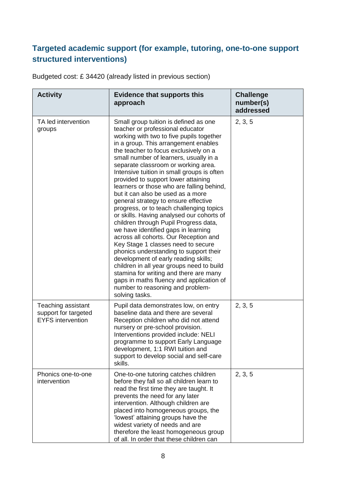#### **Targeted academic support (for example, tutoring, one-to-one support structured interventions)**

Budgeted cost: £ 34420 (already listed in previous section)

| <b>Activity</b>                                                        | <b>Evidence that supports this</b><br>approach                                                                                                                                                                                                                                                                                                                                                                                                                                                                                                                                                                                                                                                                                                                                                                                                                                                                                                                                                                                            | <b>Challenge</b><br>number(s)<br>addressed |
|------------------------------------------------------------------------|-------------------------------------------------------------------------------------------------------------------------------------------------------------------------------------------------------------------------------------------------------------------------------------------------------------------------------------------------------------------------------------------------------------------------------------------------------------------------------------------------------------------------------------------------------------------------------------------------------------------------------------------------------------------------------------------------------------------------------------------------------------------------------------------------------------------------------------------------------------------------------------------------------------------------------------------------------------------------------------------------------------------------------------------|--------------------------------------------|
| TA led intervention<br>groups                                          | Small group tuition is defined as one<br>teacher or professional educator<br>working with two to five pupils together<br>in a group. This arrangement enables<br>the teacher to focus exclusively on a<br>small number of learners, usually in a<br>separate classroom or working area.<br>Intensive tuition in small groups is often<br>provided to support lower attaining<br>learners or those who are falling behind,<br>but it can also be used as a more<br>general strategy to ensure effective<br>progress, or to teach challenging topics<br>or skills. Having analysed our cohorts of<br>children through Pupil Progress data,<br>we have identified gaps in learning<br>across all cohorts. Our Reception and<br>Key Stage 1 classes need to secure<br>phonics understanding to support their<br>development of early reading skills;<br>children in all year groups need to build<br>stamina for writing and there are many<br>gaps in maths fluency and application of<br>number to reasoning and problem-<br>solving tasks. | 2, 3, 5                                    |
| Teaching assistant<br>support for targeted<br><b>EYFS</b> intervention | Pupil data demonstrates low, on entry<br>baseline data and there are several<br>Reception children who did not attend<br>nursery or pre-school provision.<br>Interventions provided include: NELI<br>programme to support Early Language<br>development, 1:1 RWI tuition and<br>support to develop social and self-care<br>skills.                                                                                                                                                                                                                                                                                                                                                                                                                                                                                                                                                                                                                                                                                                        | 2, 3, 5                                    |
| Phonics one-to-one<br>intervention                                     | One-to-one tutoring catches children<br>before they fall so all children learn to<br>read the first time they are taught. It<br>prevents the need for any later<br>intervention. Although children are<br>placed into homogeneous groups, the<br>'lowest' attaining groups have the<br>widest variety of needs and are<br>therefore the least homogeneous group<br>of all. In order that these children can                                                                                                                                                                                                                                                                                                                                                                                                                                                                                                                                                                                                                               | 2, 3, 5                                    |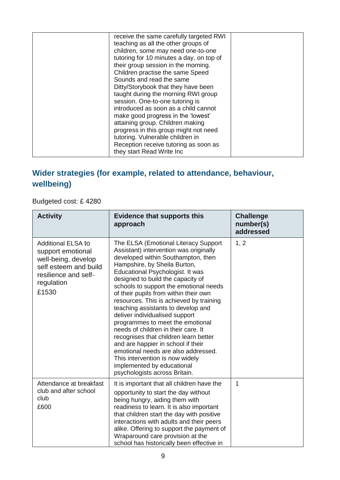| receive the same carefully targeted RWI<br>teaching as all the other groups of<br>children, some may need one-to-one<br>tutoring for 10 minutes a day, on top of<br>their group session in the morning.<br>Children practise the same Speed<br>Sounds and read the same<br>Ditty/Storybook that they have been<br>taught during the morning RWI group<br>session. One-to-one tutoring is<br>introduced as soon as a child cannot |  |
|----------------------------------------------------------------------------------------------------------------------------------------------------------------------------------------------------------------------------------------------------------------------------------------------------------------------------------------------------------------------------------------------------------------------------------|--|
| make good progress in the 'lowest'<br>attaining group. Children making<br>progress in this group might not need<br>tutoring. Vulnerable children in<br>Reception receive tutoring as soon as                                                                                                                                                                                                                                     |  |
| they start Read Write Inc                                                                                                                                                                                                                                                                                                                                                                                                        |  |

#### **Wider strategies (for example, related to attendance, behaviour, wellbeing)**

Budgeted cost: £ 4280

| <b>Activity</b>                                                                                                                               | <b>Evidence that supports this</b><br>approach                                                                                                                                                                                                                                                                                                                                                                                                                                                                                                                                                                                                                                                                                         | <b>Challenge</b><br>number(s)<br>addressed |
|-----------------------------------------------------------------------------------------------------------------------------------------------|----------------------------------------------------------------------------------------------------------------------------------------------------------------------------------------------------------------------------------------------------------------------------------------------------------------------------------------------------------------------------------------------------------------------------------------------------------------------------------------------------------------------------------------------------------------------------------------------------------------------------------------------------------------------------------------------------------------------------------------|--------------------------------------------|
| <b>Additional ELSA to</b><br>support emotional<br>well-being, develop<br>self esteem and build<br>resilience and self-<br>regulation<br>£1530 | The ELSA (Emotional Literacy Support<br>Assistant) intervention was originally<br>developed within Southampton, then<br>Hampshire, by Sheila Burton,<br>Educational Psychologist. It was<br>designed to build the capacity of<br>schools to support the emotional needs<br>of their pupils from within their own<br>resources. This is achieved by training<br>teaching assistants to develop and<br>deliver individualised support<br>programmes to meet the emotional<br>needs of children in their care. It<br>recognises that children learn better<br>and are happier in school if their<br>emotional needs are also addressed.<br>This intervention is now widely<br>implemented by educational<br>psychologists across Britain. | 1, 2                                       |
| Attendance at breakfast<br>club and after school<br>club<br>£600                                                                              | It is important that all children have the<br>opportunity to start the day without<br>being hungry, aiding them with<br>readiness to learn. It is also important<br>that children start the day with positive<br>interactions with adults and their peers<br>alike. Offering to support the payment of<br>Wraparound care provision at the<br>school has historically been effective in                                                                                                                                                                                                                                                                                                                                                | 1                                          |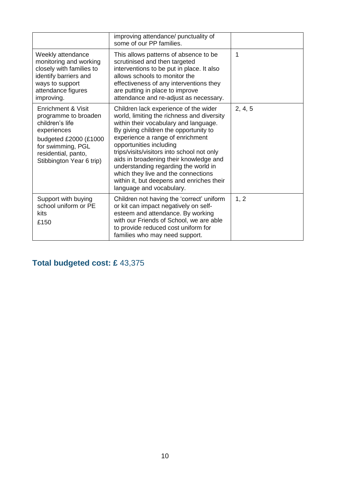|                                                                                                                                                                               | improving attendance/ punctuality of<br>some of our PP families.                                                                                                                                                                                                                                                                                                                                                                                                                     |         |
|-------------------------------------------------------------------------------------------------------------------------------------------------------------------------------|--------------------------------------------------------------------------------------------------------------------------------------------------------------------------------------------------------------------------------------------------------------------------------------------------------------------------------------------------------------------------------------------------------------------------------------------------------------------------------------|---------|
| Weekly attendance<br>monitoring and working<br>closely with families to<br>identify barriers and<br>ways to support<br>attendance figures<br>improving.                       | This allows patterns of absence to be<br>scrutinised and then targeted<br>interventions to be put in place. It also<br>allows schools to monitor the<br>effectiveness of any interventions they<br>are putting in place to improve<br>attendance and re-adjust as necessary.                                                                                                                                                                                                         | 1       |
| Enrichment & Visit<br>programme to broaden<br>children's life<br>experiences<br>budgeted £2000 (£1000<br>for swimming, PGL<br>residential, panto,<br>Stibbington Year 6 trip) | Children lack experience of the wider<br>world, limiting the richness and diversity<br>within their vocabulary and language.<br>By giving children the opportunity to<br>experience a range of enrichment<br>opportunities including<br>trips/visits/visitors into school not only<br>aids in broadening their knowledge and<br>understanding regarding the world in<br>which they live and the connections<br>within it, but deepens and enriches their<br>language and vocabulary. | 2, 4, 5 |
| Support with buying<br>school uniform or PE<br>kits<br>£150                                                                                                                   | Children not having the 'correct' uniform<br>or kit can impact negatively on self-<br>esteem and attendance. By working<br>with our Friends of School, we are able<br>to provide reduced cost uniform for<br>families who may need support.                                                                                                                                                                                                                                          | 1, 2    |

### **Total budgeted cost: £** 43,375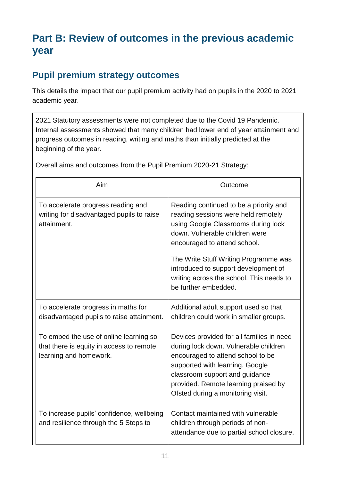# **Part B: Review of outcomes in the previous academic year**

### **Pupil premium strategy outcomes**

This details the impact that our pupil premium activity had on pupils in the 2020 to 2021 academic year.

2021 Statutory assessments were not completed due to the Covid 19 Pandemic. Internal assessments showed that many children had lower end of year attainment and progress outcomes in reading, writing and maths than initially predicted at the beginning of the year.

Overall aims and outcomes from the Pupil Premium 2020-21 Strategy:

| Aim                                                                                                          | Outcome                                                                                                                                                                                                                                                                                                                                     |
|--------------------------------------------------------------------------------------------------------------|---------------------------------------------------------------------------------------------------------------------------------------------------------------------------------------------------------------------------------------------------------------------------------------------------------------------------------------------|
| To accelerate progress reading and<br>writing for disadvantaged pupils to raise<br>attainment.               | Reading continued to be a priority and<br>reading sessions were held remotely<br>using Google Classrooms during lock<br>down. Vulnerable children were<br>encouraged to attend school.<br>The Write Stuff Writing Programme was<br>introduced to support development of<br>writing across the school. This needs to<br>be further embedded. |
| To accelerate progress in maths for<br>disadvantaged pupils to raise attainment.                             | Additional adult support used so that<br>children could work in smaller groups.                                                                                                                                                                                                                                                             |
| To embed the use of online learning so<br>that there is equity in access to remote<br>learning and homework. | Devices provided for all families in need<br>during lock down. Vulnerable children<br>encouraged to attend school to be<br>supported with learning. Google<br>classroom support and guidance<br>provided. Remote learning praised by<br>Ofsted during a monitoring visit.                                                                   |
| To increase pupils' confidence, wellbeing<br>and resilience through the 5 Steps to                           | Contact maintained with vulnerable<br>children through periods of non-<br>attendance due to partial school closure.                                                                                                                                                                                                                         |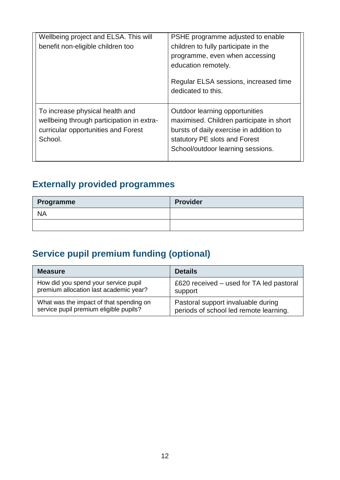| Wellbeing project and ELSA. This will                                                                                          | PSHE programme adjusted to enable                                                                                                                                                                  |
|--------------------------------------------------------------------------------------------------------------------------------|----------------------------------------------------------------------------------------------------------------------------------------------------------------------------------------------------|
| benefit non-eligible children too                                                                                              | children to fully participate in the                                                                                                                                                               |
|                                                                                                                                | programme, even when accessing                                                                                                                                                                     |
|                                                                                                                                | education remotely.                                                                                                                                                                                |
|                                                                                                                                | Regular ELSA sessions, increased time<br>dedicated to this.                                                                                                                                        |
| To increase physical health and<br>wellbeing through participation in extra-<br>curricular opportunities and Forest<br>School. | <b>Outdoor learning opportunities</b><br>maximised. Children participate in short<br>bursts of daily exercise in addition to<br>statutory PE slots and Forest<br>School/outdoor learning sessions. |

# **Externally provided programmes**

| Programme | <b>Provider</b> |
|-----------|-----------------|
| <b>NA</b> |                 |
|           |                 |

# **Service pupil premium funding (optional)**

| <b>Measure</b>                          | <b>Details</b>                           |
|-----------------------------------------|------------------------------------------|
| How did you spend your service pupil    | £620 received – used for TA led pastoral |
| premium allocation last academic year?  | support                                  |
| What was the impact of that spending on | Pastoral support invaluable during       |
| service pupil premium eligible pupils?  | periods of school led remote learning.   |